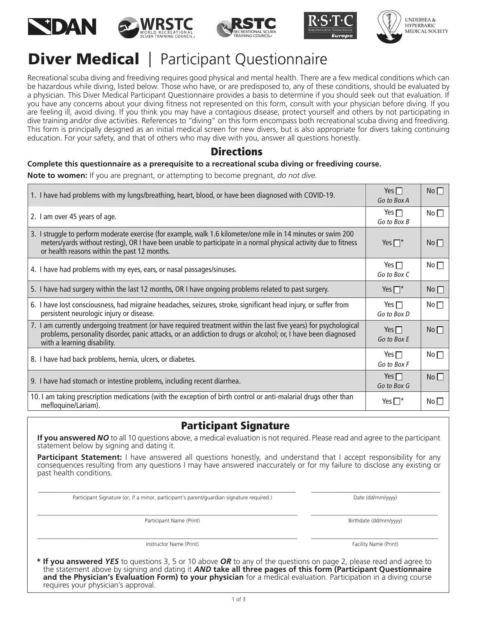









## **Diver Medical** | Participant Questionnaire

Recreational scuba diving and freediving requires good physical and mental health. There are a few medical conditions which can be hazardous while diving, listed below. Those who have, or are predisposed to, any of these conditions, should be evaluated by a physician. This Diver Medical Participant Questionnaire provides a basis to determine if you should seek out that evaluation. If you have any concerns about your diving ftness not represented on this form, consult with your physician before diving. If you are feeling ill, avoid diving. If you think you may have a contagious disease, protect yourself and others by not participating in dive training and/or dive activities. References to "diving" on this form encompass both recreational scuba diving and freediving. This form is principally designed as an initial medical screen for new divers, but is also appropriate for divers taking continuing education. For your safety, and that of others who may dive with you, answer all questions honestly.

### **Directions**

### **Complete this questionnaire as a prerequisite to a recreational scuba diving or freediving course.**

**Note to women:** If you are pregnant, or attempting to become pregnant, *do not dive.*

| 1. I have had problems with my lungs/breathing, heart, blood, or have been diagnosed with COVID-19.                                                                                                                                                                                | Yes $\Box$<br>Go to Box A    | $No$ $\Box$     |
|------------------------------------------------------------------------------------------------------------------------------------------------------------------------------------------------------------------------------------------------------------------------------------|------------------------------|-----------------|
| 2. I am over 45 years of age.                                                                                                                                                                                                                                                      | Yes $\Box$<br>Go to Box B    | No <sub>1</sub> |
| 3. I struggle to perform moderate exercise (for example, walk 1.6 kilometer/one mile in 14 minutes or swim 200<br>meters/yards without resting), OR I have been unable to participate in a normal physical activity due to fitness<br>or health reasons within the past 12 months. | Yes $\square^*$              | $No$ $\Box$     |
| 4. I have had problems with my eyes, ears, or nasal passages/sinuses.                                                                                                                                                                                                              | Yes $\square$<br>Go to Box C | No <sub>1</sub> |
| 5. I have had surgery within the last 12 months, OR I have ongoing problems related to past surgery.                                                                                                                                                                               | Yes $\Box^*$                 | No              |
| 6. I have lost consciousness, had migraine headaches, seizures, stroke, significant head injury, or suffer from<br>persistent neurologic injury or disease.                                                                                                                        | Yes $\Box$<br>Go to Box D    | No <sub>1</sub> |
| 7. I am currently undergoing treatment (or have required treatment within the last five years) for psychological<br>problems, personality disorder, panic attacks, or an addiction to drugs or alcohol; or, I have been diagnosed<br>with a learning disability.                   | Yes $\Box$<br>Go to Box E    | No              |
| 8. I have had back problems, hernia, ulcers, or diabetes.                                                                                                                                                                                                                          | Yes $\Box$<br>Go to Box F    | No <sub>1</sub> |
| 9. I have had stomach or intestine problems, including recent diarrhea.                                                                                                                                                                                                            | Yes $\Box$<br>Go to Box G    | $No$ $\Box$     |
| 10. I am taking prescription medications (with the exception of birth control or anti-malarial drugs other than<br>mefloquine/Lariam).                                                                                                                                             |                              | No $\square$    |

## Participant Signature

**If you answered** *NO* to all 10 questions above, a medical evaluation is not required. Please read and agree to the participant statement below by signing and dating it.

**Participant Statement:** I have answered all questions honestly, and understand that I accept responsibility for any consequences resulting from any questions I may have answered inaccurately or for my failure to disclose any existing or past health conditions.

\_\_\_\_\_\_\_\_\_\_\_\_\_\_\_\_\_\_\_\_\_\_\_\_\_\_\_\_\_\_\_\_\_\_\_\_\_\_\_\_\_\_\_\_\_\_\_\_\_\_\_\_\_\_\_\_\_\_\_\_\_\_\_\_\_\_ \_\_\_\_\_\_\_\_\_\_\_\_\_\_\_\_\_\_\_\_\_\_\_\_\_\_\_\_\_\_\_\_\_

\_\_\_\_\_\_\_\_\_\_\_\_\_\_\_\_\_\_\_\_\_\_\_\_\_\_\_\_\_\_\_\_\_\_\_\_\_\_\_\_\_\_\_\_\_\_\_\_\_\_\_\_\_\_\_\_\_\_\_\_\_\_\_\_\_\_\_\_\_\_\_\_\_\_ \_\_\_\_\_\_\_\_\_\_\_\_\_\_\_\_\_\_\_\_\_\_\_\_\_\_\_\_\_\_\_\_\_\_\_\_

\_\_\_\_\_\_\_\_\_\_\_\_\_\_\_\_\_\_\_\_\_\_\_\_\_\_\_\_\_\_\_\_\_\_\_\_\_\_\_\_\_\_\_\_\_\_\_\_\_\_\_\_\_\_\_\_\_\_\_\_\_\_\_\_\_\_\_\_\_\_\_\_\_\_ \_\_\_\_\_\_\_\_\_\_\_\_\_\_\_\_\_\_\_\_\_\_\_\_\_\_\_\_\_\_\_\_\_\_\_\_

Participant Signature (or, if a minor, participant's parent/guardian signature required.) Date (dd/mm/yyyy) Date (dd/mm/yyyy)

Participant Name (Print) **Birthdate (dd/mm/yyyy)** Birthdate (dd/mm/yyyy)

Instructor Name (Print) Facility Name (Print) Facility Name (Print)

**\* If you answered** *YES* to questions 3, 5 or 10 above *OR* to any of the questions on page 2, please read and agree to the statement above by signing and dating it *AND* **take all three pages of this form (Participant Questionnaire and the Physician's Evaluation Form) to your physician** for a medical evaluation. Participation in a diving course requires your physician's approval.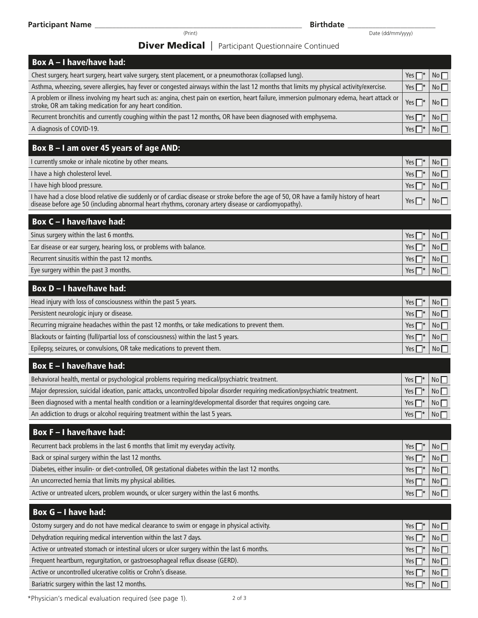Date (dd/mm/yyyy)

### **Diver Medical** | Participant Questionnaire Continued

| <b>Diver Medical</b>   Participant Questionnaire Continued                                                                                                                                                                                     |              |    |
|------------------------------------------------------------------------------------------------------------------------------------------------------------------------------------------------------------------------------------------------|--------------|----|
| <b>Box A - I have/have had:</b>                                                                                                                                                                                                                |              |    |
| Chest surgery, heart surgery, heart valve surgery, stent placement, or a pneumothorax (collapsed lung).                                                                                                                                        | Yes $\Box^*$ | No |
| Asthma, wheezing, severe allergies, hay fever or congested airways within the last 12 months that limits my physical activity/exercise.                                                                                                        | Yes $\Box^*$ | No |
| A problem or illness involving my heart such as: angina, chest pain on exertion, heart failure, immersion pulmonary edema, heart attack or<br>stroke, OR am taking medication for any heart condition.                                         | Yes $\Box^*$ | No |
| Recurrent bronchitis and currently coughing within the past 12 months, OR have been diagnosed with emphysema.                                                                                                                                  | Yes $\Box^*$ | No |
| A diagnosis of COVID-19.                                                                                                                                                                                                                       | Yes $\Box^*$ | No |
| Box B - I am over 45 years of age AND:                                                                                                                                                                                                         |              |    |
| I currently smoke or inhale nicotine by other means.                                                                                                                                                                                           | Yes $\Box^*$ | No |
| I have a high cholesterol level.                                                                                                                                                                                                               | Yes $\Box^*$ | No |
| I have high blood pressure.                                                                                                                                                                                                                    | Yes $\Box^*$ | No |
| I have had a close blood relative die suddenly or of cardiac disease or stroke before the age of 50, OR have a family history of heart<br>disease before age 50 (including abnormal heart rhythms, coronary artery disease or cardiomyopathy). | Yes $\Box^*$ | No |
| <b>Box C-I have/have had:</b>                                                                                                                                                                                                                  |              |    |
| Sinus surgery within the last 6 months.                                                                                                                                                                                                        | Yes $\Box^*$ | No |
| Ear disease or ear surgery, hearing loss, or problems with balance.                                                                                                                                                                            | Yes $\Box^*$ | No |
| Recurrent sinusitis within the past 12 months.                                                                                                                                                                                                 | Yes $\Box^*$ | No |
| Eye surgery within the past 3 months.                                                                                                                                                                                                          | Yes $\Box^*$ | No |
| <b>Box D-I have/have had:</b>                                                                                                                                                                                                                  |              |    |
| Head injury with loss of consciousness within the past 5 years.                                                                                                                                                                                | Yes $\Box^*$ | No |
| Persistent neurologic injury or disease.                                                                                                                                                                                                       | Yes $\Box^*$ | No |
| Recurring migraine headaches within the past 12 months, or take medications to prevent them.                                                                                                                                                   | Yes $\Box^*$ | No |
| Blackouts or fainting (full/partial loss of consciousness) within the last 5 years.                                                                                                                                                            | Yes $\Box^*$ | No |
| Epilepsy, seizures, or convulsions, OR take medications to prevent them.                                                                                                                                                                       | Yes $\Box^*$ | No |
| <b>Box E-I have/have had:</b>                                                                                                                                                                                                                  |              |    |
| Behavioral health, mental or psychological problems requiring medical/psychiatric treatment.                                                                                                                                                   | Yes $\Box^*$ | No |
| Major depression, suicidal ideation, panic attacks, uncontrolled bipolar disorder requiring medication/psychiatric treatment.                                                                                                                  | Yes $\Box^*$ | No |
| Been diagnosed with a mental health condition or a learning/developmental disorder that requires ongoing care.                                                                                                                                 | Yes $\Box^*$ | No |
| An addiction to drugs or alcohol requiring treatment within the last 5 years.                                                                                                                                                                  | Yes $\Box^*$ | No |
| <b>Box F-I have/have had:</b>                                                                                                                                                                                                                  |              |    |
| Recurrent back problems in the last 6 months that limit my everyday activity.                                                                                                                                                                  | Yes $\Box^*$ | No |
| Back or spinal surgery within the last 12 months.                                                                                                                                                                                              | Yes $\Box^*$ | No |
| Diabetes, either insulin- or diet-controlled, OR gestational diabetes within the last 12 months.                                                                                                                                               | Yes $\Box^*$ | No |
| An uncorrected hernia that limits my physical abilities.                                                                                                                                                                                       | Yes $\Box^*$ | No |
| Active or untreated ulcers, problem wounds, or ulcer surgery within the last 6 months.                                                                                                                                                         | Yes $\Box^*$ | No |
|                                                                                                                                                                                                                                                |              |    |
| Box G - I have had:                                                                                                                                                                                                                            |              |    |
| Ostomy surgery and do not have medical clearance to swim or engage in physical activity.                                                                                                                                                       | Yes $\Box^*$ | No |
| Dehydration requiring medical intervention within the last 7 days.                                                                                                                                                                             | Yes $\Box^*$ | No |
| Active or untreated stomach or intestinal ulcers or ulcer surgery within the last 6 months.                                                                                                                                                    | Yes $\Box^*$ | No |
| Frequent heartburn, regurgitation, or gastroesophageal reflux disease (GERD).                                                                                                                                                                  | Yes $\Box^*$ | No |

Active or uncontrolled ulcerative colitis or Crohn's disease. Bariatric surgery within the last 12 months.

\*Physician's medical evaluation required (see page 1).